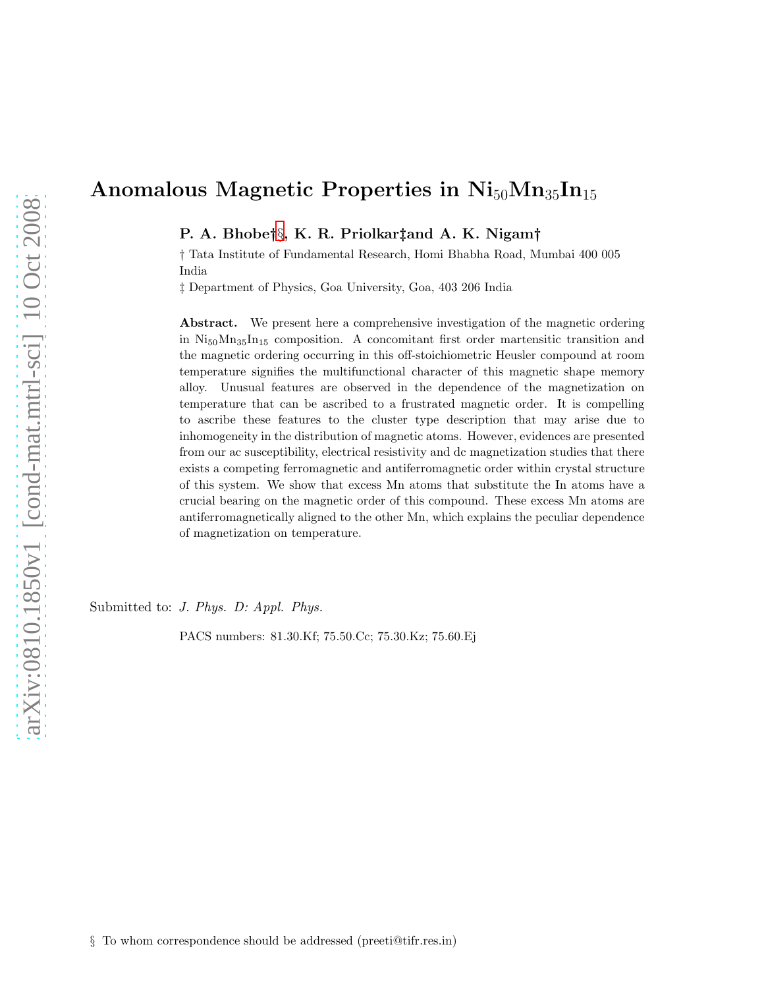# Anomalous Magnetic Properties in  $Ni_{50}Mn_{35}In_{15}$

P. A. Bhobe†[§](#page-0-0), K. R. Priolkar‡and A. K. Nigam†

† Tata Institute of Fundamental Research, Homi Bhabha Road, Mumbai 400 005 India

‡ Department of Physics, Goa University, Goa, 403 206 India

Abstract. We present here a comprehensive investigation of the magnetic ordering in  $Ni_{50}Mn_{35}In_{15}$  composition. A concomitant first order martensitic transition and the magnetic ordering occurring in this off-stoichiometric Heusler compound at room temperature signifies the multifunctional character of this magnetic shape memory alloy. Unusual features are observed in the dependence of the magnetization on temperature that can be ascribed to a frustrated magnetic order. It is compelling to ascribe these features to the cluster type description that may arise due to inhomogeneity in the distribution of magnetic atoms. However, evidences are presented from our ac susceptibility, electrical resistivity and dc magnetization studies that there exists a competing ferromagnetic and antiferromagnetic order within crystal structure of this system. We show that excess Mn atoms that substitute the In atoms have a crucial bearing on the magnetic order of this compound. These excess Mn atoms are antiferromagnetically aligned to the other Mn, which explains the peculiar dependence of magnetization on temperature.

Submitted to: *J. Phys. D: Appl. Phys.*

<span id="page-0-0"></span>PACS numbers: 81.30.Kf; 75.50.Cc; 75.30.Kz; 75.60.Ej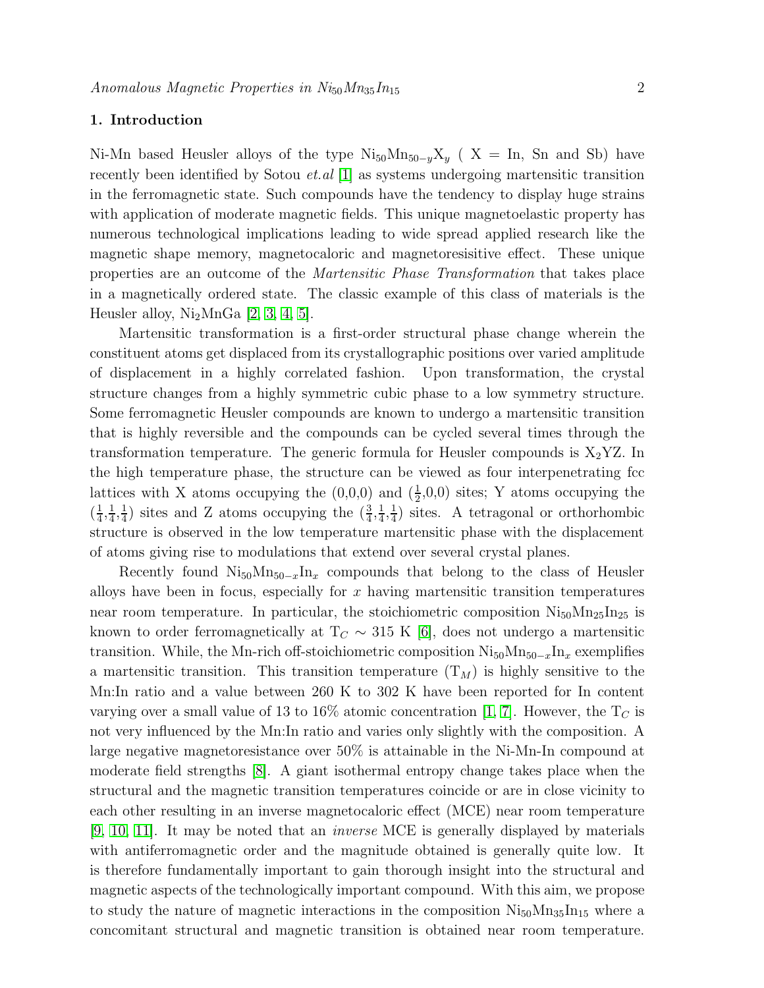## 1. Introduction

Ni-Mn based Heusler alloys of the type  $Ni_{50}Mn_{50-y}X_y$  ( X = In, Sn and Sb) have recently been identified by Sotou *et.al* [\[1\]](#page-8-0) as systems undergoing martensitic transition in the ferromagnetic state. Such compounds have the tendency to display huge strains with application of moderate magnetic fields. This unique magnetoelastic property has numerous technological implications leading to wide spread applied research like the magnetic shape memory, magnetocaloric and magnetoresisitive effect. These unique properties are an outcome of the Martensitic Phase Transformation that takes place in a magnetically ordered state. The classic example of this class of materials is the Heusler alloy,  $Ni<sub>2</sub>MnGa$  [\[2,](#page-8-1) [3,](#page-8-2) [4,](#page-8-3) [5\]](#page-8-4).

Martensitic transformation is a first-order structural phase change wherein the constituent atoms get displaced from its crystallographic positions over varied amplitude of displacement in a highly correlated fashion. Upon transformation, the crystal structure changes from a highly symmetric cubic phase to a low symmetry structure. Some ferromagnetic Heusler compounds are known to undergo a martensitic transition that is highly reversible and the compounds can be cycled several times through the transformation temperature. The generic formula for Heusler compounds is  $X_2$ YZ. In the high temperature phase, the structure can be viewed as four interpenetrating fcc lattices with X atoms occupying the  $(0,0,0)$  and  $(\frac{1}{2},0,0)$  sites; Y atoms occupying the  $\left(\frac{1}{4}\right)$  $\frac{1}{4}, \frac{1}{4}$  $\frac{1}{4}, \frac{1}{4}$  $(\frac{1}{4})$  sites and Z atoms occupying the  $(\frac{3}{4}, \frac{1}{4})$  $\frac{1}{4}, \frac{1}{4}$  $\frac{1}{4}$ ) sites. A tetragonal or orthorhombic structure is observed in the low temperature martensitic phase with the displacement of atoms giving rise to modulations that extend over several crystal planes.

Recently found  $Ni_{50}Mn_{50-x}In_x$  compounds that belong to the class of Heusler alloys have been in focus, especially for  $x$  having martensitic transition temperatures near room temperature. In particular, the stoichiometric composition  $Ni_{50}Mn_{25}In_{25}$  is known to order ferromagnetically at  $T_C \sim 315$  K [\[6\]](#page-8-5), does not undergo a martensitic transition. While, the Mn-rich off-stoichiometric composition  $Ni_{50}Mn_{50-x}In_x$  exemplifies a martensitic transition. This transition temperature  $(T_M)$  is highly sensitive to the Mn:In ratio and a value between 260 K to 302 K have been reported for In content varying over a small value of 13 to 16% atomic concentration [\[1,](#page-8-0) [7\]](#page-8-6). However, the  $T_C$  is not very influenced by the Mn:In ratio and varies only slightly with the composition. A large negative magnetoresistance over 50% is attainable in the Ni-Mn-In compound at moderate field strengths [\[8\]](#page-8-7). A giant isothermal entropy change takes place when the structural and the magnetic transition temperatures coincide or are in close vicinity to each other resulting in an inverse magnetocaloric effect (MCE) near room temperature [\[9,](#page-8-8) [10,](#page-8-9) [11\]](#page-8-10). It may be noted that an inverse MCE is generally displayed by materials with antiferromagnetic order and the magnitude obtained is generally quite low. It is therefore fundamentally important to gain thorough insight into the structural and magnetic aspects of the technologically important compound. With this aim, we propose to study the nature of magnetic interactions in the composition  $\rm Ni_{50}Mn_{35}In_{15}$  where a concomitant structural and magnetic transition is obtained near room temperature.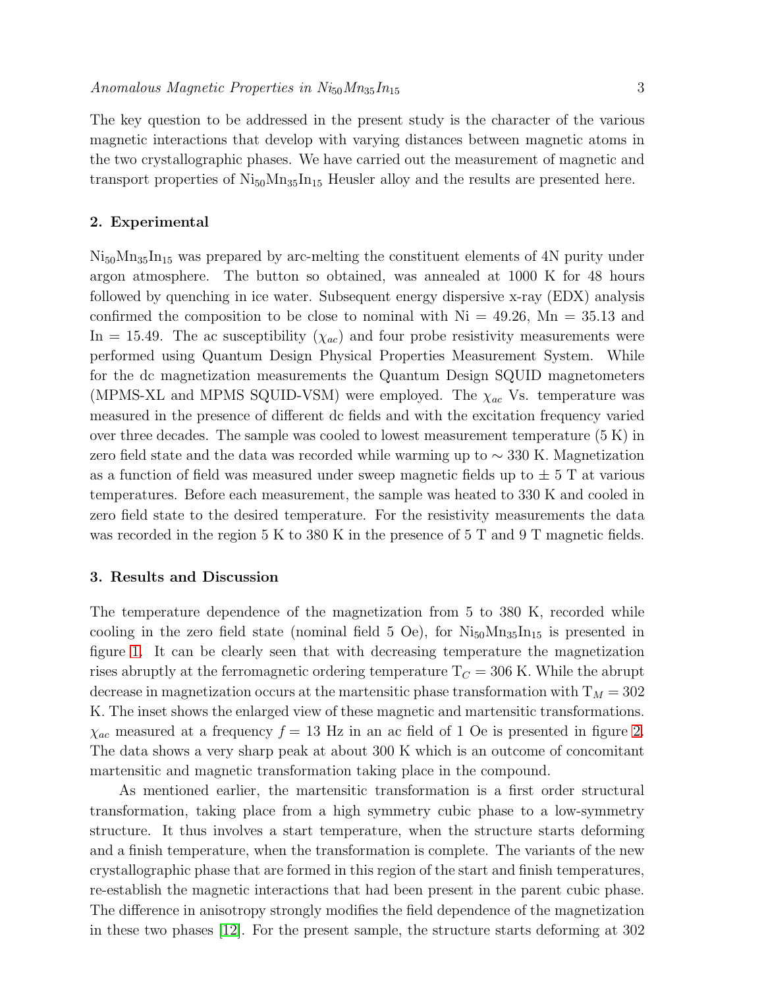The key question to be addressed in the present study is the character of the various magnetic interactions that develop with varying distances between magnetic atoms in the two crystallographic phases. We have carried out the measurement of magnetic and transport properties of  $Ni_{50}Mn_{35}In_{15}$  Heusler alloy and the results are presented here.

#### 2. Experimental

 $\rm Ni_{50}Mn_{35}In_{15}$  was prepared by arc-melting the constituent elements of 4N purity under argon atmosphere. The button so obtained, was annealed at 1000 K for 48 hours followed by quenching in ice water. Subsequent energy dispersive x-ray (EDX) analysis confirmed the composition to be close to nominal with  $Ni = 49.26$ ,  $Mn = 35.13$  and In = 15.49. The ac susceptibility  $(\chi_{ac})$  and four probe resistivity measurements were performed using Quantum Design Physical Properties Measurement System. While for the dc magnetization measurements the Quantum Design SQUID magnetometers (MPMS-XL and MPMS SQUID-VSM) were employed. The  $\chi_{ac}$  Vs. temperature was measured in the presence of different dc fields and with the excitation frequency varied over three decades. The sample was cooled to lowest measurement temperature  $(5 K)$  in zero field state and the data was recorded while warming up to ∼ 330 K. Magnetization as a function of field was measured under sweep magnetic fields up to  $\pm$  5 T at various temperatures. Before each measurement, the sample was heated to 330 K and cooled in zero field state to the desired temperature. For the resistivity measurements the data was recorded in the region 5 K to 380 K in the presence of 5 T and 9 T magnetic fields.

#### 3. Results and Discussion

The temperature dependence of the magnetization from 5 to 380 K, recorded while cooling in the zero field state (nominal field 5 Oe), for  $Ni_{50}Mn_{35}In_{15}$  is presented in figure [1.](#page-9-0) It can be clearly seen that with decreasing temperature the magnetization rises abruptly at the ferromagnetic ordering temperature  $T<sub>C</sub> = 306$  K. While the abrupt decrease in magnetization occurs at the martensitic phase transformation with  $T_M = 302$ K. The inset shows the enlarged view of these magnetic and martensitic transformations.  $\chi_{ac}$  measured at a frequency  $f = 13$  Hz in an ac field of 1 Oe is presented in figure [2.](#page-9-1) The data shows a very sharp peak at about 300 K which is an outcome of concomitant martensitic and magnetic transformation taking place in the compound.

As mentioned earlier, the martensitic transformation is a first order structural transformation, taking place from a high symmetry cubic phase to a low-symmetry structure. It thus involves a start temperature, when the structure starts deforming and a finish temperature, when the transformation is complete. The variants of the new crystallographic phase that are formed in this region of the start and finish temperatures, re-establish the magnetic interactions that had been present in the parent cubic phase. The difference in anisotropy strongly modifies the field dependence of the magnetization in these two phases [\[12\]](#page-8-11). For the present sample, the structure starts deforming at 302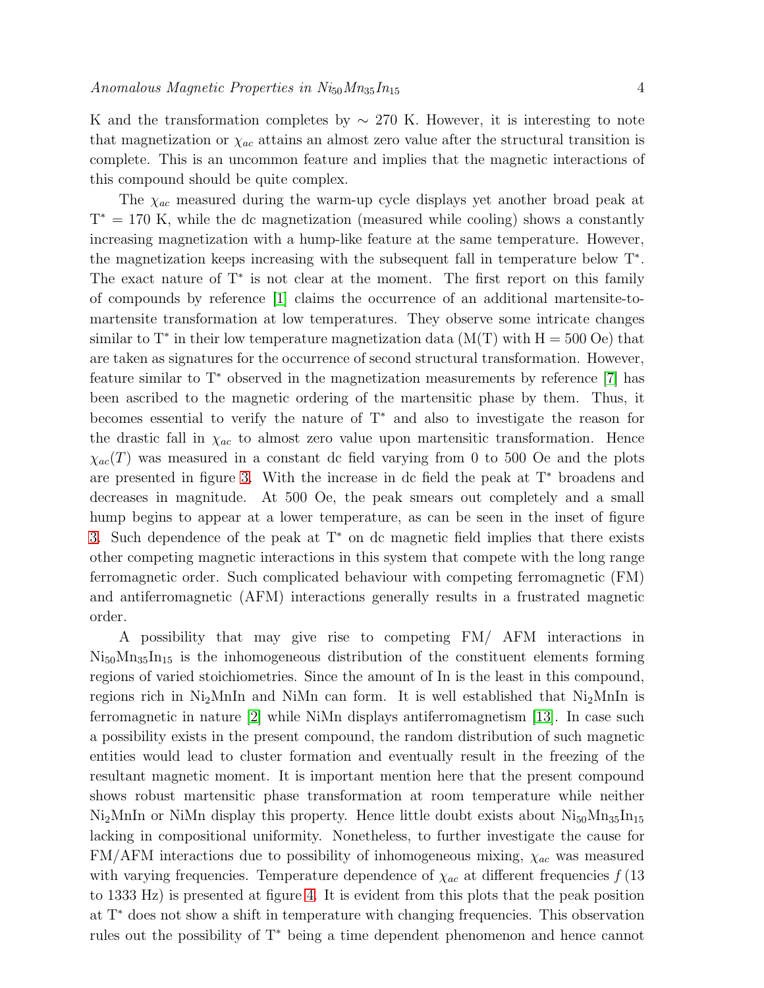K and the transformation completes by  $\sim$  270 K. However, it is interesting to note that magnetization or  $\chi_{ac}$  attains an almost zero value after the structural transition is complete. This is an uncommon feature and implies that the magnetic interactions of this compound should be quite complex.

The  $\chi_{ac}$  measured during the warm-up cycle displays yet another broad peak at  $T^* = 170$  K, while the dc magnetization (measured while cooling) shows a constantly increasing magnetization with a hump-like feature at the same temperature. However, the magnetization keeps increasing with the subsequent fall in temperature below T<sup>∗</sup> . The exact nature of T<sup>∗</sup> is not clear at the moment. The first report on this family of compounds by reference [\[1\]](#page-8-0) claims the occurrence of an additional martensite-tomartensite transformation at low temperatures. They observe some intricate changes similar to T<sup>\*</sup> in their low temperature magnetization data ( $M(T)$  with  $H = 500$  Oe) that are taken as signatures for the occurrence of second structural transformation. However, feature similar to T<sup>∗</sup> observed in the magnetization measurements by reference [\[7\]](#page-8-6) has been ascribed to the magnetic ordering of the martensitic phase by them. Thus, it becomes essential to verify the nature of T<sup>∗</sup> and also to investigate the reason for the drastic fall in  $\chi_{ac}$  to almost zero value upon martensitic transformation. Hence  $\chi_{ac}(T)$  was measured in a constant dc field varying from 0 to 500 Oe and the plots are presented in figure [3.](#page-10-0) With the increase in dc field the peak at T<sup>∗</sup> broadens and decreases in magnitude. At 500 Oe, the peak smears out completely and a small hump begins to appear at a lower temperature, as can be seen in the inset of figure [3.](#page-10-0) Such dependence of the peak at T<sup>∗</sup> on dc magnetic field implies that there exists other competing magnetic interactions in this system that compete with the long range ferromagnetic order. Such complicated behaviour with competing ferromagnetic (FM) and antiferromagnetic (AFM) interactions generally results in a frustrated magnetic order.

A possibility that may give rise to competing FM/ AFM interactions in  $Ni_{50}Mn_{35}In_{15}$  is the inhomogeneous distribution of the constituent elements forming regions of varied stoichiometries. Since the amount of In is the least in this compound, regions rich in Ni<sub>2</sub>MnIn and NiMn can form. It is well established that  $Ni<sub>2</sub>MnIn$  is ferromagnetic in nature [\[2\]](#page-8-1) while NiMn displays antiferromagnetism [\[13\]](#page-8-12). In case such a possibility exists in the present compound, the random distribution of such magnetic entities would lead to cluster formation and eventually result in the freezing of the resultant magnetic moment. It is important mention here that the present compound shows robust martensitic phase transformation at room temperature while neither  $Ni<sub>2</sub>MnIn$  or NiMn display this property. Hence little doubt exists about  $Ni<sub>50</sub>Mn<sub>35</sub>In<sub>15</sub>$ lacking in compositional uniformity. Nonetheless, to further investigate the cause for  $FM/AFM$  interactions due to possibility of inhomogeneous mixing,  $\chi_{ac}$  was measured with varying frequencies. Temperature dependence of  $\chi_{ac}$  at different frequencies  $f(13)$ to 1333 Hz) is presented at figure [4.](#page-10-1) It is evident from this plots that the peak position at T<sup>∗</sup> does not show a shift in temperature with changing frequencies. This observation rules out the possibility of T<sup>∗</sup> being a time dependent phenomenon and hence cannot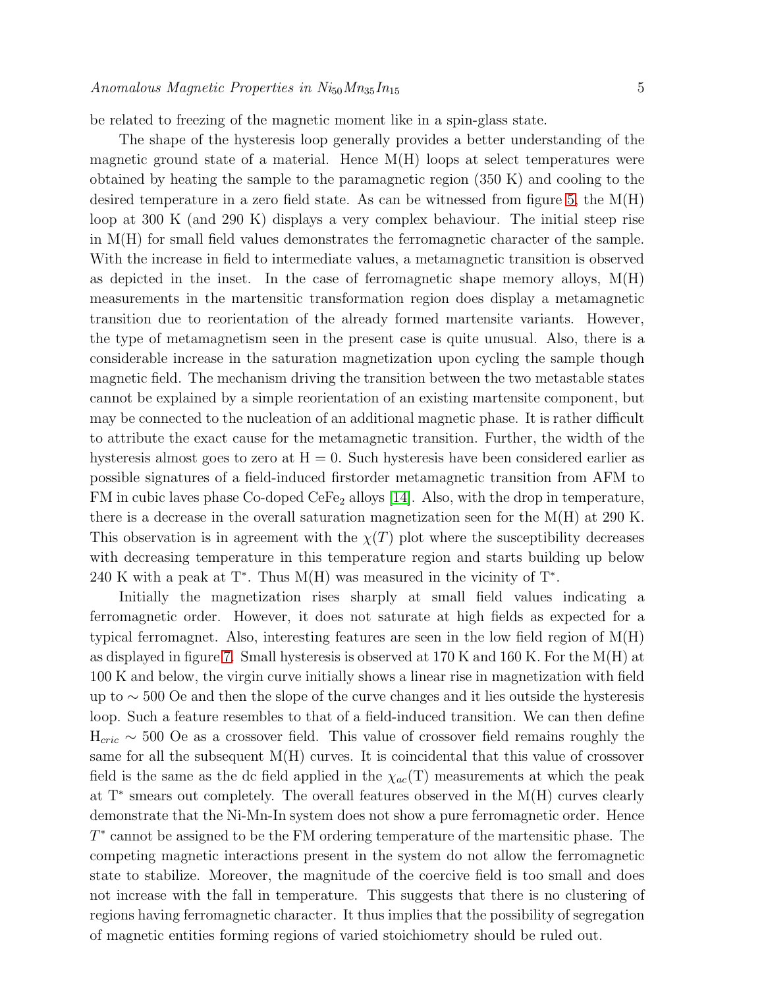be related to freezing of the magnetic moment like in a spin-glass state.

The shape of the hysteresis loop generally provides a better understanding of the magnetic ground state of a material. Hence  $M(H)$  loops at select temperatures were obtained by heating the sample to the paramagnetic region (350 K) and cooling to the desired temperature in a zero field state. As can be witnessed from figure [5,](#page-11-0) the  $M(H)$ loop at 300 K (and 290 K) displays a very complex behaviour. The initial steep rise in M(H) for small field values demonstrates the ferromagnetic character of the sample. With the increase in field to intermediate values, a metamagnetic transition is observed as depicted in the inset. In the case of ferromagnetic shape memory alloys,  $M(H)$ measurements in the martensitic transformation region does display a metamagnetic transition due to reorientation of the already formed martensite variants. However, the type of metamagnetism seen in the present case is quite unusual. Also, there is a considerable increase in the saturation magnetization upon cycling the sample though magnetic field. The mechanism driving the transition between the two metastable states cannot be explained by a simple reorientation of an existing martensite component, but may be connected to the nucleation of an additional magnetic phase. It is rather difficult to attribute the exact cause for the metamagnetic transition. Further, the width of the hysteresis almost goes to zero at  $H = 0$ . Such hysteresis have been considered earlier as possible signatures of a field-induced firstorder metamagnetic transition from AFM to FM in cubic laves phase Co-doped CeFe<sub>2</sub> alloys  $|14|$ . Also, with the drop in temperature, there is a decrease in the overall saturation magnetization seen for the  $M(H)$  at 290 K. This observation is in agreement with the  $\chi(T)$  plot where the susceptibility decreases with decreasing temperature in this temperature region and starts building up below 240 K with a peak at  $T^*$ . Thus M(H) was measured in the vicinity of  $T^*$ .

Initially the magnetization rises sharply at small field values indicating a ferromagnetic order. However, it does not saturate at high fields as expected for a typical ferromagnet. Also, interesting features are seen in the low field region of  $M(H)$ as displayed in figure [7.](#page-13-0) Small hysteresis is observed at 170 K and 160 K. For the M(H) at 100 K and below, the virgin curve initially shows a linear rise in magnetization with field up to ∼ 500 Oe and then the slope of the curve changes and it lies outside the hysteresis loop. Such a feature resembles to that of a field-induced transition. We can then define  $H_{\text{cric}} \sim 500$  Oe as a crossover field. This value of crossover field remains roughly the same for all the subsequent M(H) curves. It is coincidental that this value of crossover field is the same as the dc field applied in the  $\chi_{ac}(T)$  measurements at which the peak at T<sup>∗</sup> smears out completely. The overall features observed in the M(H) curves clearly demonstrate that the Ni-Mn-In system does not show a pure ferromagnetic order. Hence  $T^*$  cannot be assigned to be the FM ordering temperature of the martensitic phase. The competing magnetic interactions present in the system do not allow the ferromagnetic state to stabilize. Moreover, the magnitude of the coercive field is too small and does not increase with the fall in temperature. This suggests that there is no clustering of regions having ferromagnetic character. It thus implies that the possibility of segregation of magnetic entities forming regions of varied stoichiometry should be ruled out.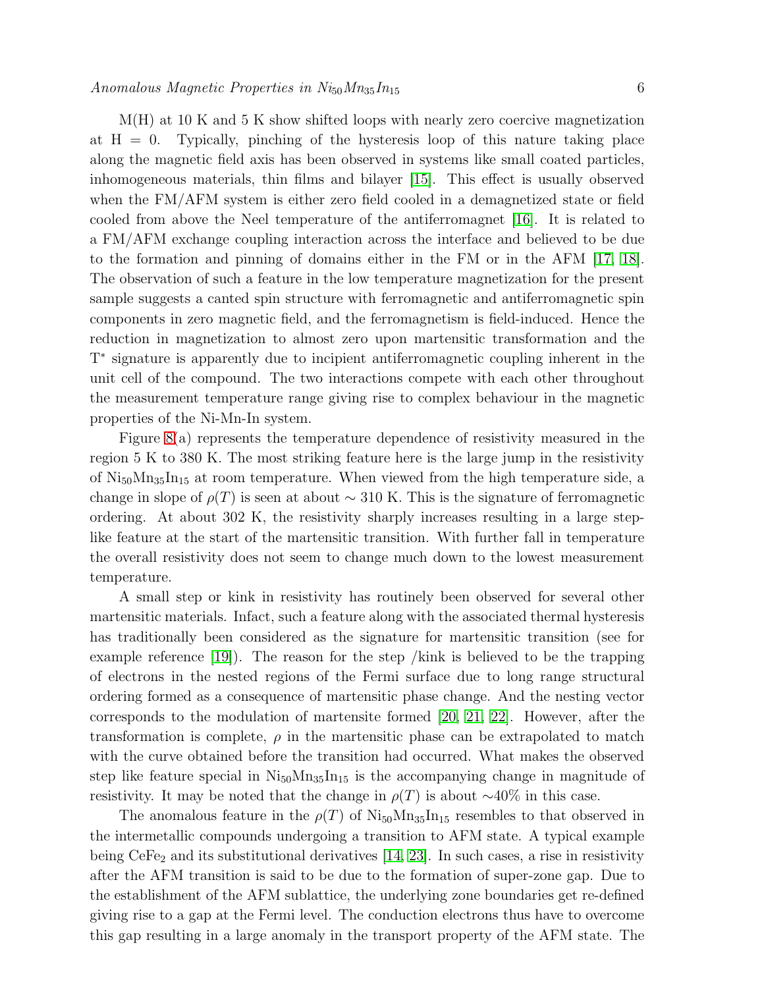M(H) at 10 K and 5 K show shifted loops with nearly zero coercive magnetization at  $H = 0$ . Typically, pinching of the hysteresis loop of this nature taking place along the magnetic field axis has been observed in systems like small coated particles, inhomogeneous materials, thin films and bilayer [\[15\]](#page-8-14). This effect is usually observed when the FM/AFM system is either zero field cooled in a demagnetized state or field cooled from above the Neel temperature of the antiferromagnet [\[16\]](#page-8-15). It is related to a FM/AFM exchange coupling interaction across the interface and believed to be due to the formation and pinning of domains either in the FM or in the AFM [\[17,](#page-8-16) [18\]](#page-8-17). The observation of such a feature in the low temperature magnetization for the present sample suggests a canted spin structure with ferromagnetic and antiferromagnetic spin components in zero magnetic field, and the ferromagnetism is field-induced. Hence the reduction in magnetization to almost zero upon martensitic transformation and the T ∗ signature is apparently due to incipient antiferromagnetic coupling inherent in the unit cell of the compound. The two interactions compete with each other throughout the measurement temperature range giving rise to complex behaviour in the magnetic properties of the Ni-Mn-In system.

Figure [8\(](#page-14-0)a) represents the temperature dependence of resistivity measured in the region 5 K to 380 K. The most striking feature here is the large jump in the resistivity of  $Ni_{50}Mn_{35}In_{15}$  at room temperature. When viewed from the high temperature side, a change in slope of  $\rho(T)$  is seen at about ~ 310 K. This is the signature of ferromagnetic ordering. At about 302 K, the resistivity sharply increases resulting in a large steplike feature at the start of the martensitic transition. With further fall in temperature the overall resistivity does not seem to change much down to the lowest measurement temperature.

A small step or kink in resistivity has routinely been observed for several other martensitic materials. Infact, such a feature along with the associated thermal hysteresis has traditionally been considered as the signature for martensitic transition (see for example reference [\[19\]](#page-8-18)). The reason for the step /kink is believed to be the trapping of electrons in the nested regions of the Fermi surface due to long range structural ordering formed as a consequence of martensitic phase change. And the nesting vector corresponds to the modulation of martensite formed [\[20,](#page-8-19) [21,](#page-8-20) [22\]](#page-8-21). However, after the transformation is complete,  $\rho$  in the martensitic phase can be extrapolated to match with the curve obtained before the transition had occurred. What makes the observed step like feature special in  $Ni_{50}Mn_{35}In_{15}$  is the accompanying change in magnitude of resistivity. It may be noted that the change in  $\rho(T)$  is about ~40% in this case.

The anomalous feature in the  $\rho(T)$  of Ni<sub>50</sub>Mn<sub>35</sub>In<sub>15</sub> resembles to that observed in the intermetallic compounds undergoing a transition to AFM state. A typical example being  $CeFe<sub>2</sub>$  and its substitutional derivatives [\[14,](#page-8-13) [23\]](#page-8-22). In such cases, a rise in resistivity after the AFM transition is said to be due to the formation of super-zone gap. Due to the establishment of the AFM sublattice, the underlying zone boundaries get re-defined giving rise to a gap at the Fermi level. The conduction electrons thus have to overcome this gap resulting in a large anomaly in the transport property of the AFM state. The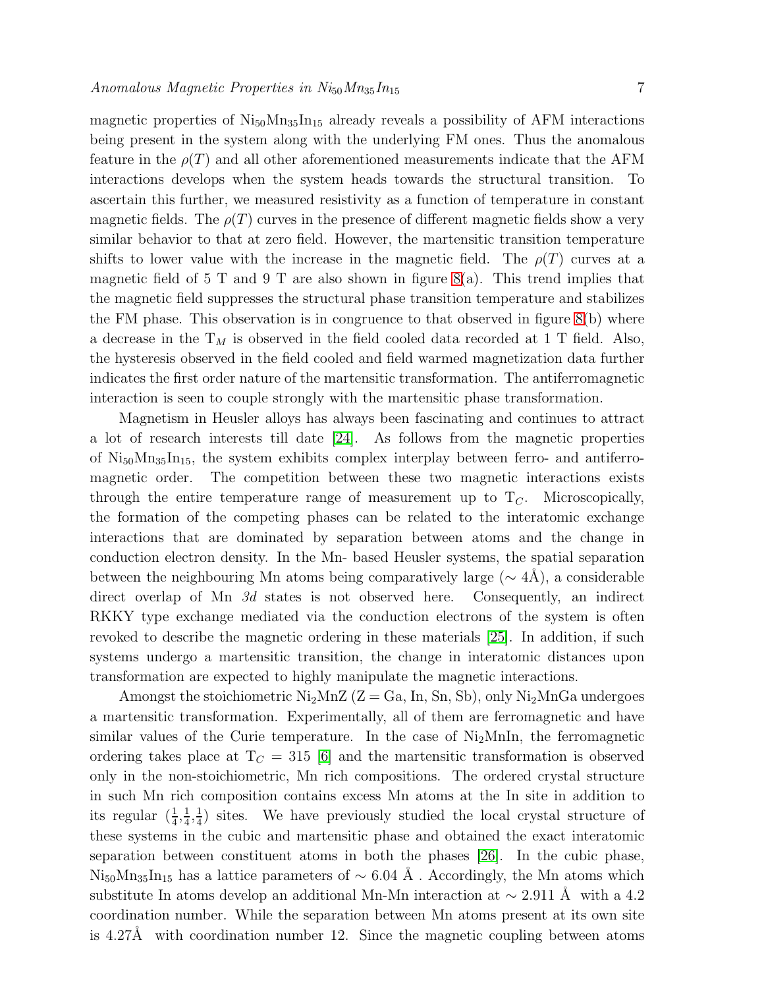magnetic properties of  $Ni_{50}Mn_{35}In_{15}$  already reveals a possibility of AFM interactions being present in the system along with the underlying FM ones. Thus the anomalous feature in the  $\rho(T)$  and all other aforementioned measurements indicate that the AFM interactions develops when the system heads towards the structural transition. To ascertain this further, we measured resistivity as a function of temperature in constant magnetic fields. The  $\rho(T)$  curves in the presence of different magnetic fields show a very similar behavior to that at zero field. However, the martensitic transition temperature shifts to lower value with the increase in the magnetic field. The  $\rho(T)$  curves at a magnetic field of 5 T and 9 T are also shown in figure  $8(a)$ . This trend implies that the magnetic field suppresses the structural phase transition temperature and stabilizes the FM phase. This observation is in congruence to that observed in figure  $8(b)$  where a decrease in the  $T_M$  is observed in the field cooled data recorded at 1 T field. Also, the hysteresis observed in the field cooled and field warmed magnetization data further indicates the first order nature of the martensitic transformation. The antiferromagnetic interaction is seen to couple strongly with the martensitic phase transformation.

Magnetism in Heusler alloys has always been fascinating and continues to attract a lot of research interests till date [\[24\]](#page-8-23). As follows from the magnetic properties of  $Ni_{50}Mn_{35}In_{15}$ , the system exhibits complex interplay between ferro- and antiferromagnetic order. The competition between these two magnetic interactions exists through the entire temperature range of measurement up to  $T_C$ . Microscopically, the formation of the competing phases can be related to the interatomic exchange interactions that are dominated by separation between atoms and the change in conduction electron density. In the Mn- based Heusler systems, the spatial separation between the neighbouring Mn atoms being comparatively large ( $\sim 4\text{\AA}$ ), a considerable direct overlap of Mn 3d states is not observed here. Consequently, an indirect RKKY type exchange mediated via the conduction electrons of the system is often revoked to describe the magnetic ordering in these materials [\[25\]](#page-8-24). In addition, if such systems undergo a martensitic transition, the change in interatomic distances upon transformation are expected to highly manipulate the magnetic interactions.

Amongst the stoichiometric  $Ni_2MnZ$  ( $Z = Ga$ , In, Sn, Sb), only  $Ni_2MnGa$  undergoes a martensitic transformation. Experimentally, all of them are ferromagnetic and have similar values of the Curie temperature. In the case of  $Ni<sub>2</sub>MnIn$ , the ferromagnetic ordering takes place at  $T_C = 315$  [\[6\]](#page-8-5) and the martensitic transformation is observed only in the non-stoichiometric, Mn rich compositions. The ordered crystal structure in such Mn rich composition contains excess Mn atoms at the In site in addition to its regular  $\left(\frac{1}{4}, \frac{1}{4}\right)$  $\frac{1}{4}, \frac{1}{4}$  $\frac{1}{4}$ ) sites. We have previously studied the local crystal structure of these systems in the cubic and martensitic phase and obtained the exact interatomic separation between constituent atoms in both the phases [\[26\]](#page-8-25). In the cubic phase, Ni<sub>50</sub>Mn<sub>35</sub>In<sub>15</sub> has a lattice parameters of  $\sim$  6.04 Å . Accordingly, the Mn atoms which substitute In atoms develop an additional Mn-Mn interaction at  $\sim 2.911 \text{ Å}$  with a 4.2 coordination number. While the separation between Mn atoms present at its own site is  $4.27\text{\AA}$  with coordination number 12. Since the magnetic coupling between atoms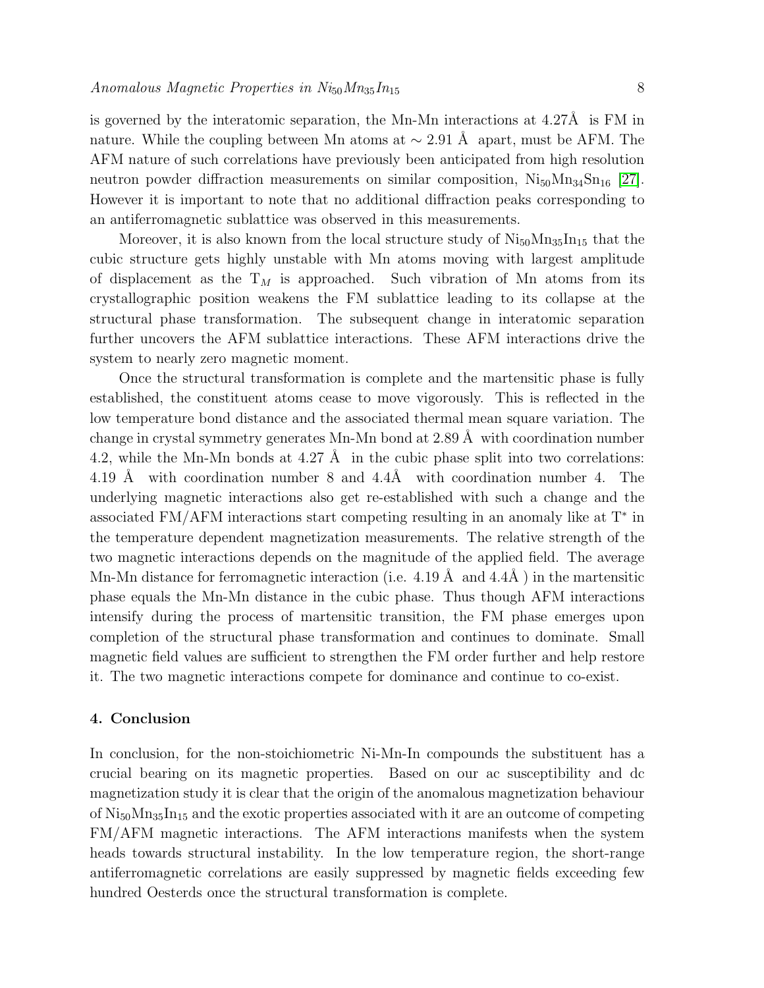is governed by the interatomic separation, the Mn-Mn interactions at  $4.27\text{\AA}$  is FM in nature. While the coupling between Mn atoms at  $\sim 2.91 \text{ Å}$  apart, must be AFM. The AFM nature of such correlations have previously been anticipated from high resolution neutron powder diffraction measurements on similar composition,  $Ni_{50}Mn_{34}Sn_{16}$  [\[27\]](#page-8-26). However it is important to note that no additional diffraction peaks corresponding to an antiferromagnetic sublattice was observed in this measurements.

Moreover, it is also known from the local structure study of  $Ni_{50}Mn_{35}In_{15}$  that the cubic structure gets highly unstable with Mn atoms moving with largest amplitude of displacement as the  $T_M$  is approached. Such vibration of Mn atoms from its crystallographic position weakens the FM sublattice leading to its collapse at the structural phase transformation. The subsequent change in interatomic separation further uncovers the AFM sublattice interactions. These AFM interactions drive the system to nearly zero magnetic moment.

Once the structural transformation is complete and the martensitic phase is fully established, the constituent atoms cease to move vigorously. This is reflected in the low temperature bond distance and the associated thermal mean square variation. The change in crystal symmetry generates Mn-Mn bond at  $2.89 \text{ Å}$  with coordination number 4.2, while the Mn-Mn bonds at  $4.27 \text{ Å}$  in the cubic phase split into two correlations: 4.19 Å with coordination number  $8$  and  $4.4\text{\AA}$  with coordination number 4. The underlying magnetic interactions also get re-established with such a change and the associated FM/AFM interactions start competing resulting in an anomaly like at T<sup>∗</sup> in the temperature dependent magnetization measurements. The relative strength of the two magnetic interactions depends on the magnitude of the applied field. The average Mn-Mn distance for ferromagnetic interaction (i.e.  $4.19 \text{ Å}$  and  $4.4\text{Å}$ ) in the martensitic phase equals the Mn-Mn distance in the cubic phase. Thus though AFM interactions intensify during the process of martensitic transition, the FM phase emerges upon completion of the structural phase transformation and continues to dominate. Small magnetic field values are sufficient to strengthen the FM order further and help restore it. The two magnetic interactions compete for dominance and continue to co-exist.

# 4. Conclusion

In conclusion, for the non-stoichiometric Ni-Mn-In compounds the substituent has a crucial bearing on its magnetic properties. Based on our ac susceptibility and dc magnetization study it is clear that the origin of the anomalous magnetization behaviour of  $Ni_{50}Mn_{35}In_{15}$  and the exotic properties associated with it are an outcome of competing FM/AFM magnetic interactions. The AFM interactions manifests when the system heads towards structural instability. In the low temperature region, the short-range antiferromagnetic correlations are easily suppressed by magnetic fields exceeding few hundred Oesterds once the structural transformation is complete.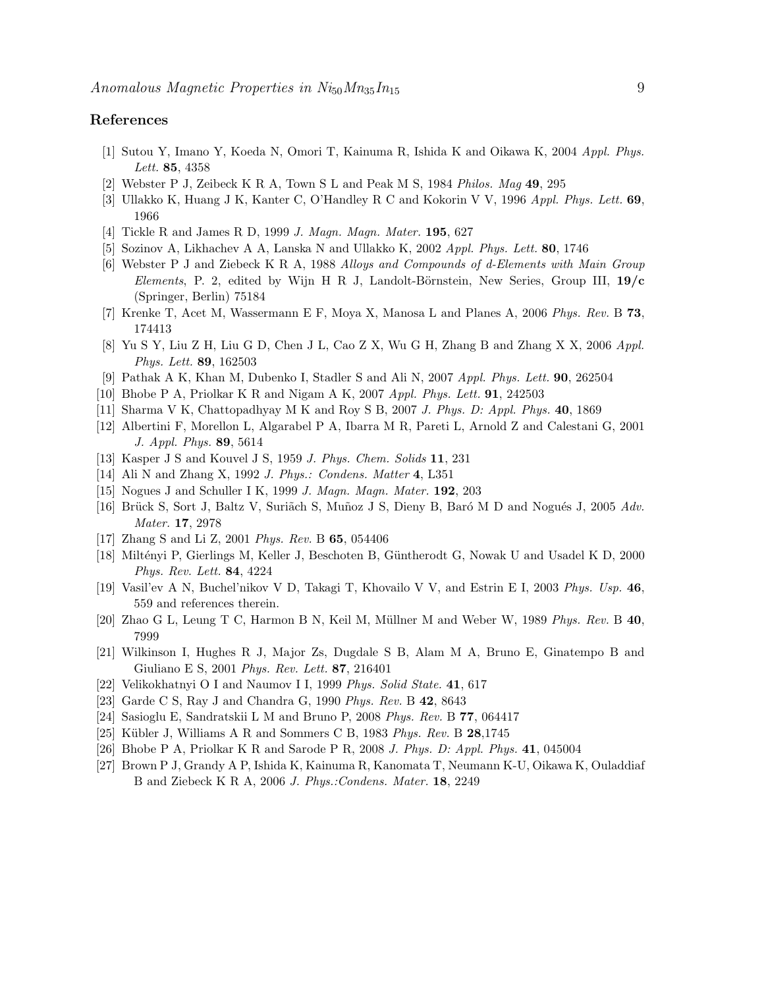## <span id="page-8-0"></span>References

- <span id="page-8-1"></span>[1] Sutou Y, Imano Y, Koeda N, Omori T, Kainuma R, Ishida K and Oikawa K, 2004 *Appl. Phys. Lett.* 85, 4358
- <span id="page-8-2"></span>[2] Webster P J, Zeibeck K R A, Town S L and Peak M S, 1984 *Philos. Mag* 49, 295
- <span id="page-8-3"></span>[3] Ullakko K, Huang J K, Kanter C, O'Handley R C and Kokorin V V, 1996 *Appl. Phys. Lett.* 69, 1966
- <span id="page-8-4"></span>[4] Tickle R and James R D, 1999 *J. Magn. Magn. Mater.* 195, 627
- <span id="page-8-5"></span>[5] Sozinov A, Likhachev A A, Lanska N and Ullakko K, 2002 *Appl. Phys. Lett.* 80, 1746
- [6] Webster P J and Ziebeck K R A, 1988 *Alloys and Compounds of d-Elements with Main Group Elements*, P. 2, edited by Wijn H R J, Landolt-Börnstein, New Series, Group III,  $19/c$ (Springer, Berlin) 75184
- <span id="page-8-7"></span><span id="page-8-6"></span>[7] Krenke T, Acet M, Wassermann E F, Moya X, Manosa L and Planes A, 2006 *Phys. Rev.* B 73, 174413
- <span id="page-8-8"></span>[8] Yu S Y, Liu Z H, Liu G D, Chen J L, Cao Z X, Wu G H, Zhang B and Zhang X X, 2006 *Appl. Phys. Lett.* 89, 162503
- <span id="page-8-9"></span>[9] Pathak A K, Khan M, Dubenko I, Stadler S and Ali N, 2007 *Appl. Phys. Lett.* 90, 262504
- <span id="page-8-10"></span>[10] Bhobe P A, Priolkar K R and Nigam A K, 2007 *Appl. Phys. Lett.* 91, 242503
- <span id="page-8-11"></span>[11] Sharma V K, Chattopadhyay M K and Roy S B, 2007 *J. Phys. D: Appl. Phys.* 40, 1869
- <span id="page-8-12"></span>[12] Albertini F, Morellon L, Algarabel P A, Ibarra M R, Pareti L, Arnold Z and Calestani G, 2001 *J. Appl. Phys.* 89, 5614
- <span id="page-8-13"></span>[13] Kasper J S and Kouvel J S, 1959 *J. Phys. Chem. Solids* 11, 231
- <span id="page-8-14"></span>[14] Ali N and Zhang X, 1992 *J. Phys.: Condens. Matter* 4, L351
- <span id="page-8-15"></span>[15] Nogues J and Schuller I K, 1999 *J. Magn. Magn. Mater.* 192, 203
- <span id="page-8-16"></span>[16] Brück S, Sort J, Baltz V, Suriãch S, Muñoz J S, Dieny B, Baró M D and Nogués J, 2005 *Adv. Mater.* 17, 2978
- <span id="page-8-17"></span>[17] Zhang S and Li Z, 2001 *Phys. Rev.* B 65, 054406
- [18] Miltényi P, Gierlings M, Keller J, Beschoten B, Güntherodt G, Nowak U and Usadel K D, 2000 *Phys. Rev. Lett.* 84, 4224
- <span id="page-8-19"></span><span id="page-8-18"></span>[19] Vasil'ev A N, Buchel'nikov V D, Takagi T, Khovailo V V, and Estrin E I, 2003 *Phys. Usp.* 46, 559 and references therein.
- <span id="page-8-20"></span>[20] Zhao G L, Leung T C, Harmon B N, Keil M, M¨ullner M and Weber W, 1989 *Phys. Rev.* B 40, 7999
- [21] Wilkinson I, Hughes R J, Major Zs, Dugdale S B, Alam M A, Bruno E, Ginatempo B and Giuliano E S, 2001 *Phys. Rev. Lett.* 87, 216401
- <span id="page-8-22"></span><span id="page-8-21"></span>[22] Velikokhatnyi O I and Naumov I I, 1999 *Phys. Solid State.* 41, 617
- <span id="page-8-23"></span>[23] Garde C S, Ray J and Chandra G, 1990 *Phys. Rev.* B 42, 8643
- <span id="page-8-24"></span>[24] Sasioglu E, Sandratskii L M and Bruno P, 2008 *Phys. Rev.* B 77, 064417
- <span id="page-8-25"></span>[25] Kübler J, Williams A R and Sommers C B, 1983 *Phys. Rev.* B **28**,1745
- <span id="page-8-26"></span>[26] Bhobe P A, Priolkar K R and Sarode P R, 2008 *J. Phys. D: Appl. Phys.* 41, 045004
- [27] Brown P J, Grandy A P, Ishida K, Kainuma R, Kanomata T, Neumann K-U, Oikawa K, Ouladdiaf B and Ziebeck K R A, 2006 *J. Phys.:Condens. Mater.* 18, 2249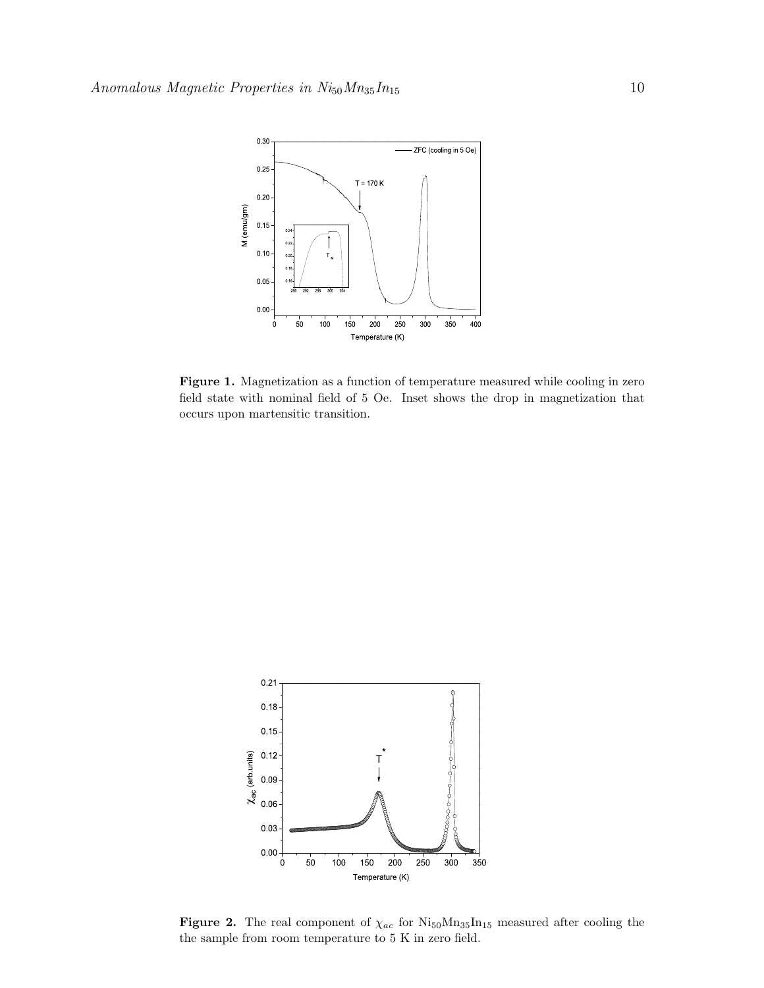

<span id="page-9-0"></span>Figure 1. Magnetization as a function of temperature measured while cooling in zero field state with nominal field of 5 Oe. Inset shows the drop in magnetization that occurs upon martensitic transition.



<span id="page-9-1"></span>Figure 2. The real component of  $\chi_{ac}$  for  $Ni_{50}Mn_{35}In_{15}$  measured after cooling the the sample from room temperature to 5 K in zero field.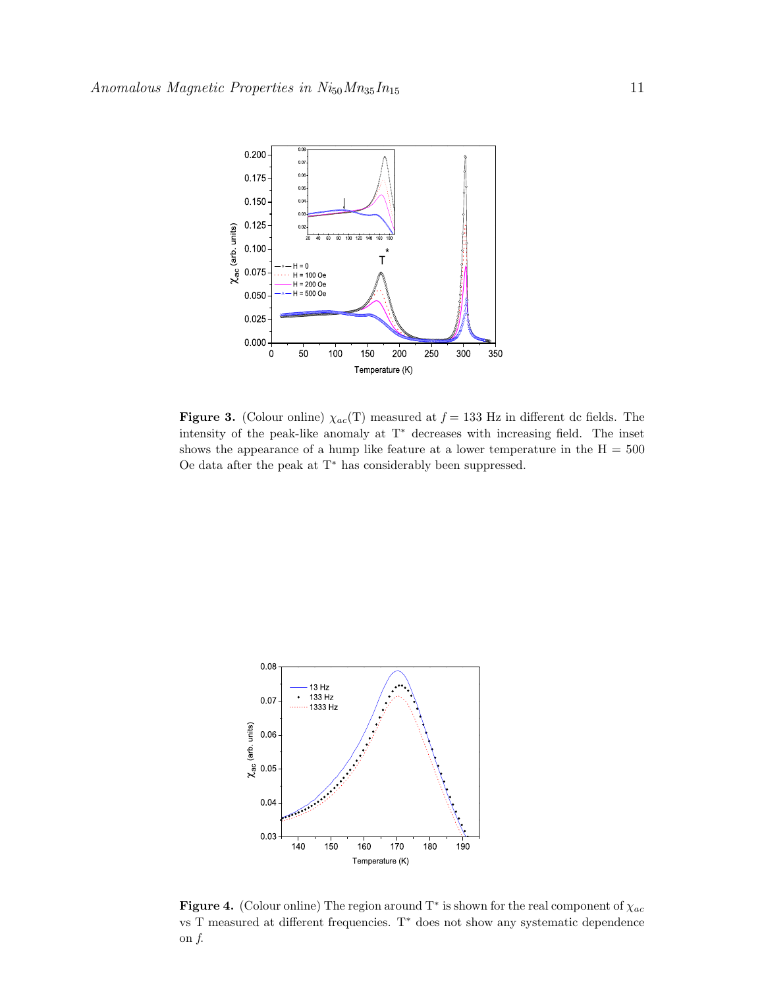

<span id="page-10-0"></span>Figure 3. (Colour online)  $\chi_{ac}(T)$  measured at  $f = 133$  Hz in different dc fields. The intensity of the peak-like anomaly at T<sup>∗</sup> decreases with increasing field. The inset shows the appearance of a hump like feature at a lower temperature in the  $H = 500$ Oe data after the peak at T<sup>∗</sup> has considerably been suppressed.



<span id="page-10-1"></span>**Figure 4.** (Colour online) The region around T<sup>\*</sup> is shown for the real component of  $\chi_{ac}$ vs T measured at different frequencies. T<sup>∗</sup> does not show any systematic dependence on *f*.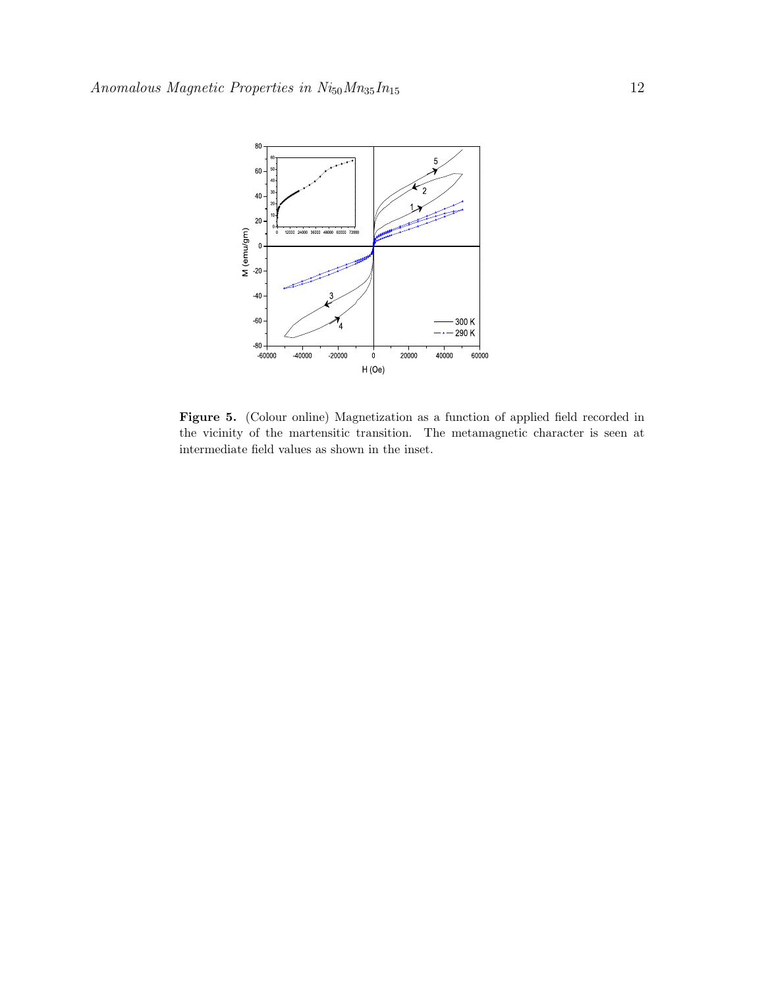

<span id="page-11-0"></span>Figure 5. (Colour online) Magnetization as a function of applied field recorded in the vicinity of the martensitic transition. The metamagnetic character is seen at intermediate field values as shown in the inset.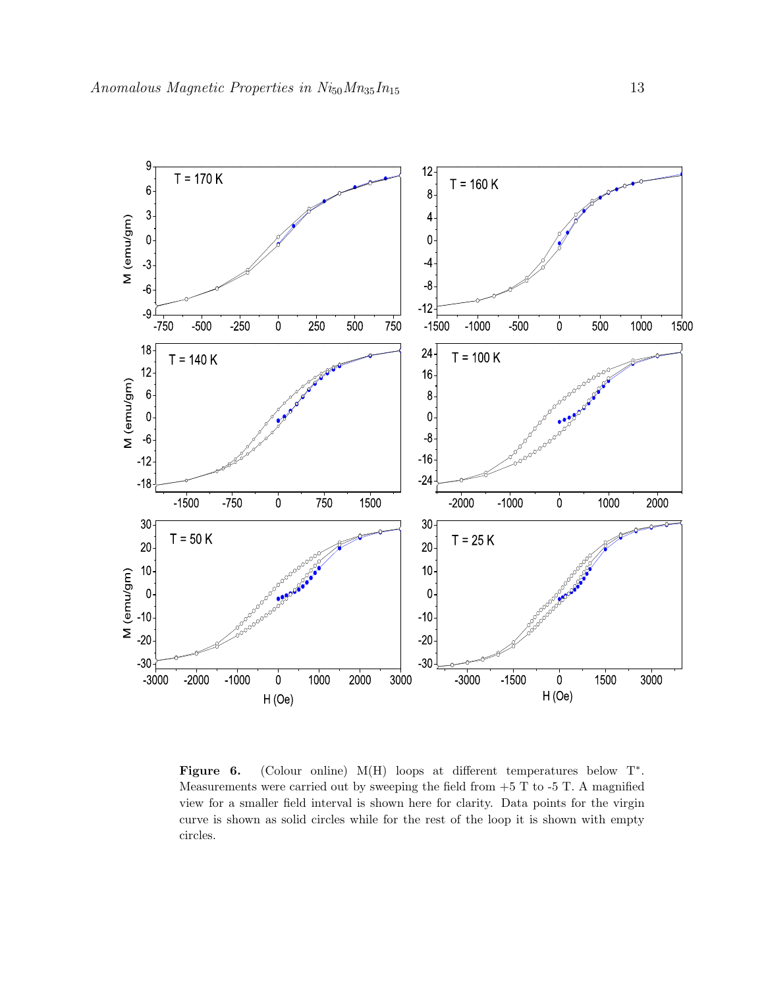

Figure 6. (Colour online) M(H) loops at different temperatures below  $T^*$ . Measurements were carried out by sweeping the field from  $+5$  T to  $-5$  T. A magnified view for a smaller field interval is shown here for clarity. Data points for the virgin curve is shown as solid circles while for the rest of the loop it is shown with empty circles.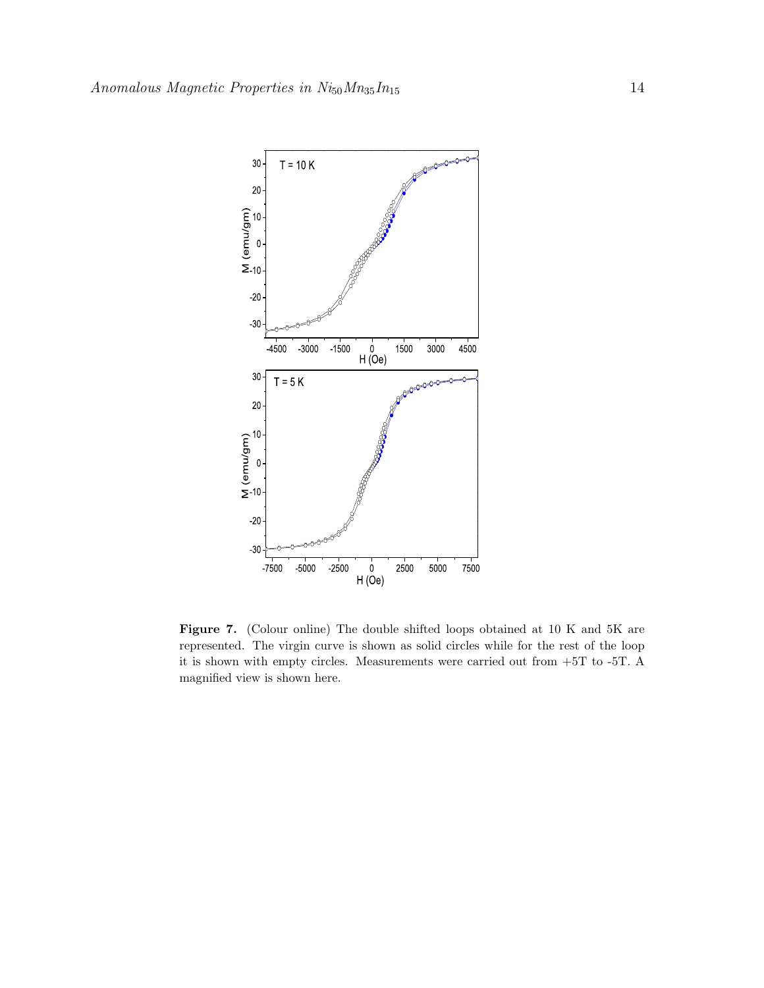

<span id="page-13-0"></span>Figure 7. (Colour online) The double shifted loops obtained at 10 K and 5K are represented. The virgin curve is shown as solid circles while for the rest of the loop it is shown with empty circles. Measurements were carried out from +5T to -5T. A magnified view is shown here.